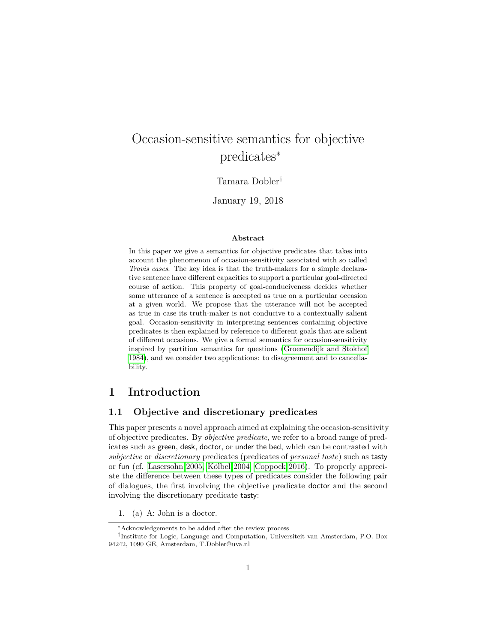# Occasion-sensitive semantics for objective predicates<sup>∗</sup>

# Tamara Dobler†

January 19, 2018

#### **Abstract**

In this paper we give a semantics for objective predicates that takes into account the phenomenon of occasion-sensitivity associated with so called *Travis cases*. The key idea is that the truth-makers for a simple declarative sentence have different capacities to support a particular goal-directed course of action. This property of goal-conduciveness decides whether some utterance of a sentence is accepted as true on a particular occasion at a given world. We propose that the utterance will not be accepted as true in case its truth-maker is not conducive to a contextually salient goal. Occasion-sensitivity in interpreting sentences containing objective predicates is then explained by reference to different goals that are salient of different occasions. We give a formal semantics for occasion-sensitivity inspired by partition semantics for questions [\(Groenendijk and Stokhof](#page-22-0) [1984\)](#page-22-0), and we consider two applications: to disagreement and to cancellability.

# **1 Introduction**

### **1.1 Objective and discretionary predicates**

This paper presents a novel approach aimed at explaining the occasion-sensitivity of objective predicates. By *objective predicate*, we refer to a broad range of predicates such as green, desk, doctor, or under the bed, which can be contrasted with *subjective* or *discretionary* predicates (predicates of *personal taste*) such as tasty or fun (cf. [Lasersohn 2005,](#page-22-1) Kölbel 2004, [Coppock 2016\)](#page-22-3). To properly appreciate the difference between these types of predicates consider the following pair of dialogues, the first involving the objective predicate doctor and the second involving the discretionary predicate tasty:

1. (a) A: John is a doctor.

<sup>∗</sup>Acknowledgements to be added after the review process

<sup>†</sup> Institute for Logic, Language and Computation, Universiteit van Amsterdam, P.O. Box 94242, 1090 GE, Amsterdam, T.Dobler@uva.nl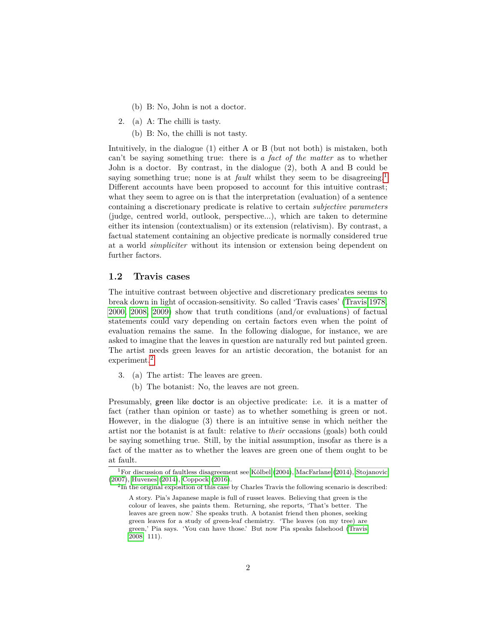- (b) B: No, John is not a doctor.
- 2. (a) A: The chilli is tasty.
	- (b) B: No, the chilli is not tasty.

Intuitively, in the dialogue (1) either A or B (but not both) is mistaken, both can't be saying something true: there is *a fact of the matter* as to whether John is a doctor. By contrast, in the dialogue (2), both A and B could be saying something true; none is at *fault* whilst they seem to be disagreeing.<sup>[1](#page-1-0)</sup> Different accounts have been proposed to account for this intuitive contrast; what they seem to agree on is that the interpretation (evaluation) of a sentence containing a discretionary predicate is relative to certain *subjective parameters* (judge, centred world, outlook, perspective...), which are taken to determine either its intension (contextualism) or its extension (relativism). By contrast, a factual statement containing an objective predicate is normally considered true at a world *simpliciter* without its intension or extension being dependent on further factors.

# **1.2 Travis cases**

The intuitive contrast between objective and discretionary predicates seems to break down in light of occasion-sensitivity. So called 'Travis cases' [\(Travis 1978,](#page-23-0) [2000,](#page-23-1) [2008,](#page-23-2) [2009\)](#page-23-3) show that truth conditions (and/or evaluations) of factual statements could vary depending on certain factors even when the point of evaluation remains the same. In the following dialogue, for instance, we are asked to imagine that the leaves in question are naturally red but painted green. The artist needs green leaves for an artistic decoration, the botanist for an experiment.<sup>[2](#page-1-1)</sup>

- 3. (a) The artist: The leaves are green.
	- (b) The botanist: No, the leaves are not green.

Presumably, green like doctor is an objective predicate: i.e. it is a matter of fact (rather than opinion or taste) as to whether something is green or not. However, in the dialogue (3) there is an intuitive sense in which neither the artist nor the botanist is at fault: relative to *their* occasions (goals) both could be saying something true. Still, by the initial assumption, insofar as there is a fact of the matter as to whether the leaves are green one of them ought to be at fault.

<span id="page-1-0"></span><sup>&</sup>lt;sup>1</sup>For discussion of faultless disagreement see Kölbel [\(2004\)](#page-22-2), [MacFarlane](#page-22-4) [\(2014\)](#page-22-4), [Stojanovic](#page-23-4) [\(2007\)](#page-23-4), [Huvenes](#page-22-5) [\(2014\)](#page-22-5), [Coppock](#page-22-3) [\(2016\)](#page-22-3).

<span id="page-1-1"></span> ${}^{2}$ In the original exposition of this case by Charles Travis the following scenario is described:

A story. Pia's Japanese maple is full of russet leaves. Believing that green is the colour of leaves, she paints them. Returning, she reports, 'That's better. The leaves are green now.' She speaks truth. A botanist friend then phones, seeking green leaves for a study of green-leaf chemistry. 'The leaves (on my tree) are green,' Pia says. 'You can have those.' But now Pia speaks falsehood [\(Travis](#page-23-2) [2008:](#page-23-2) 111).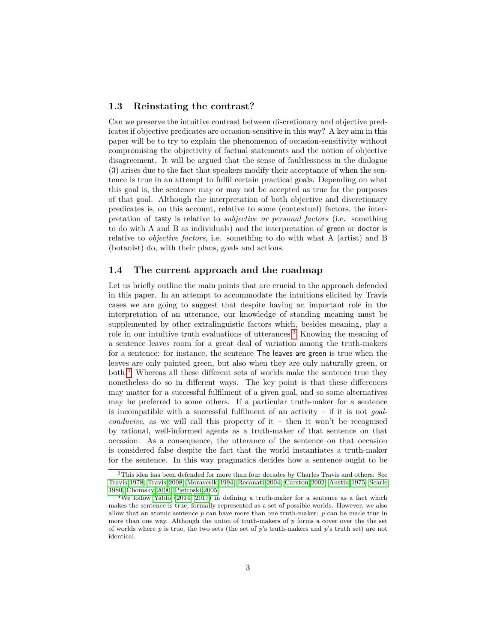## **1.3 Reinstating the contrast?**

Can we preserve the intuitive contrast between discretionary and objective predicates if objective predicates are occasion-sensitive in this way? A key aim in this paper will be to try to explain the phenomenon of occasion-sensitivity without compromising the objectivity of factual statements and the notion of objective disagreement. It will be argued that the sense of faultlessness in the dialogue (3) arises due to the fact that speakers modify their acceptance of when the sentence is true in an attempt to fulfil certain practical goals. Depending on what this goal is, the sentence may or may not be accepted as true for the purposes of that goal. Although the interpretation of both objective and discretionary predicates is, on this account, relative to some (contextual) factors, the interpretation of tasty is relative to *subjective or personal factors* (i.e. something to do with A and B as individuals) and the interpretation of green or doctor is relative to *objective factors*, i.e. something to do with what A (artist) and B (botanist) do, with their plans, goals and actions.

# **1.4 The current approach and the roadmap**

Let us briefly outline the main points that are crucial to the approach defended in this paper. In an attempt to accommodate the intuitions elicited by Travis cases we are going to suggest that despite having an important role in the interpretation of an utterance, our knowledge of standing meaning must be supplemented by other extralinguistic factors which, besides meaning, play a role in our intuitive truth evaluations of utterances.<sup>[3](#page-2-0)</sup> Knowing the meaning of a sentence leaves room for a great deal of variation among the truth-makers for a sentence: for instance, the sentence The leaves are green is true when the leaves are only painted green, but also when they are only naturally green, or both.[4](#page-2-1) Whereas all these different sets of worlds make the sentence true they nonetheless do so in different ways. The key point is that these differences may matter for a successful fulfilment of a given goal, and so some alternatives may be preferred to some others. If a particular truth-maker for a sentence is incompatible with a successful fulfilment of an activity – if it is not *goalconducive*, as we will call this property of it – then it won't be recognised by rational, well-informed agents as a truth-maker of that sentence on that occasion. As a consequence, the utterance of the sentence on that occasion is considered false despite the fact that the world instantiates a truth-maker for the sentence. In this way pragmatics decides how a sentence ought to be

<span id="page-2-0"></span><sup>&</sup>lt;sup>3</sup>This idea has been defended for more than four decades by Charles Travis and others. See [Travis 1978,](#page-23-0) [Travis 2008,](#page-23-2) [Moravcsik 1994,](#page-22-6) [Recanati 2004,](#page-23-5) [Carston 2002,](#page-22-7) [Austin 1975,](#page-21-0) [Searle](#page-23-6) [1980,](#page-23-6) [Chomsky 2000,](#page-22-8) [Pietroski 2005.](#page-23-7)

<span id="page-2-1"></span><sup>&</sup>lt;sup>4</sup>We follow [Yablo](#page-23-8) [\(2014,](#page-23-8) [2017\)](#page-23-9) in defining a truth-maker for a sentence as a fact which makes the sentence is true, formally represented as a set of possible worlds. However, we also allow that an atomic sentence *p* can have more than one truth-maker: *p* can be made true in more than one way. Although the union of truth-makers of *p* forms a cover over the the set of worlds where *p* is true, the two sets (the set of *p*'s truth-makers and *p*'s truth set) are not identical.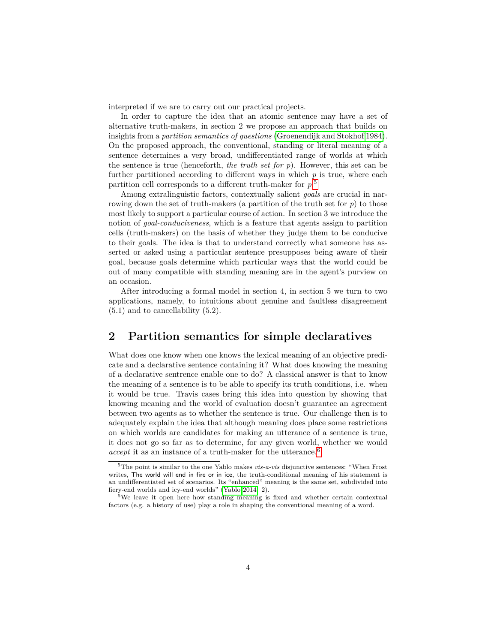interpreted if we are to carry out our practical projects.

In order to capture the idea that an atomic sentence may have a set of alternative truth-makers, in section 2 we propose an approach that builds on insights from a *partition semantics of questions* [\(Groenendijk and Stokhof 1984\)](#page-22-0). On the proposed approach, the conventional, standing or literal meaning of a sentence determines a very broad, undifferentiated range of worlds at which the sentence is true (henceforth, *the truth set for p*). However, this set can be further partitioned according to different ways in which  $p$  is true, where each partition cell corresponds to a different truth-maker for *p*. [5](#page-3-0)

Among extralinguistic factors, contextually salient *goals* are crucial in narrowing down the set of truth-makers (a partition of the truth set for  $p$ ) to those most likely to support a particular course of action. In section 3 we introduce the notion of *goal-conduciveness*, which is a feature that agents assign to partition cells (truth-makers) on the basis of whether they judge them to be conducive to their goals. The idea is that to understand correctly what someone has asserted or asked using a particular sentence presupposes being aware of their goal, because goals determine which particular ways that the world could be out of many compatible with standing meaning are in the agent's purview on an occasion.

After introducing a formal model in section 4, in section 5 we turn to two applications, namely, to intuitions about genuine and faultless disagreement  $(5.1)$  and to cancellability  $(5.2)$ .

# **2 Partition semantics for simple declaratives**

What does one know when one knows the lexical meaning of an objective predicate and a declarative sentence containing it? What does knowing the meaning of a declarative sentrence enable one to do? A classical answer is that to know the meaning of a sentence is to be able to specify its truth conditions, i.e. when it would be true. Travis cases bring this idea into question by showing that knowing meaning and the world of evaluation doesn't guarantee an agreement between two agents as to whether the sentence is true. Our challenge then is to adequately explain the idea that although meaning does place some restrictions on which worlds are candidates for making an utterance of a sentence is true, it does not go so far as to determine, for any given world, whether we would *accept* it as an instance of a truth-maker for the utterance.<sup>[6](#page-3-1)</sup>

<span id="page-3-0"></span><sup>5</sup>The point is similar to the one Yablo makes *vis-a-vis* disjunctive sentences: "When Frost writes, The world will end in fire or in ice, the truth-conditional meaning of his statement is an undifferentiated set of scenarios. Its "enhanced" meaning is the same set, subdivided into fiery-end worlds and icy-end worlds" [\(Yablo 2014:](#page-23-8) 2).

<span id="page-3-1"></span><sup>&</sup>lt;sup>6</sup>We leave it open here how standing meaning is fixed and whether certain contextual factors (e.g. a history of use) play a role in shaping the conventional meaning of a word.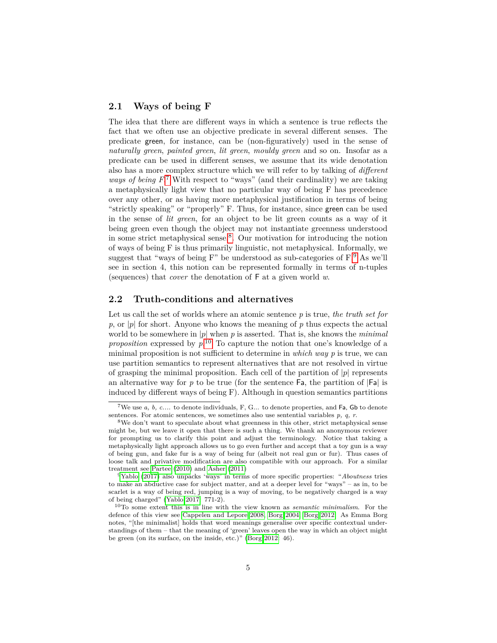### **2.1 Ways of being F**

The idea that there are different ways in which a sentence is true reflects the fact that we often use an objective predicate in several different senses. The predicate green, for instance, can be (non-figuratively) used in the sense of *naturally green*, *painted green*, *lit green*, *mouldy green* and so on. Insofar as a predicate can be used in different senses, we assume that its wide denotation also has a more complex structure which we will refer to by talking of *different* ways of being  $F^7$  $F^7$ . With respect to "ways" (and their cardinality) we are taking a metaphysically light view that no particular way of being F has precedence over any other, or as having more metaphysical justification in terms of being "strictly speaking" or "properly" F. Thus, for instance, since green can be used in the sense of *lit green*, for an object to be lit green counts as a way of it being green even though the object may not instantiate greenness understood in some strict metaphysical sense.[8](#page-4-1) . Our motivation for introducing the notion of ways of being F is thus primarily linguistic, not metaphysical. Informally, we suggest that "ways of being  $F$ " be understood as sub-categories of  $F$ . As we'll see in section 4, this notion can be represented formally in terms of n-tuples (sequences) that *cover* the denotation of F at a given world *w*.

# **2.2 Truth-conditions and alternatives**

Let us call the set of worlds where an atomic sentence *p* is true, *the truth set for p*, or |*p*| for short. Anyone who knows the meaning of *p* thus expects the actual world to be somewhere in |*p*| when *p* is asserted. That is, she knows the *minimal proposition* expressed by  $p^{10}$  $p^{10}$  $p^{10}$ . To capture the notion that one's knowledge of a minimal proposition is not sufficient to determine in *which way p* is true, we can use partition semantics to represent alternatives that are not resolved in virtue of grasping the minimal proposition. Each cell of the partition of |*p*| represents an alternative way for  $p$  to be true (for the sentence  $\mathsf{Fa}$ , the partition of  $\mathsf{Fa}$ ) is induced by different ways of being F). Although in question semantics partitions

<span id="page-4-0"></span><sup>&</sup>lt;sup>7</sup>We use  $a, b, c...$  to denote individuals, F, G... to denote properties, and  $Fa$ , Gb to denote sentences. For atomic sentences, we sometimes also use sentential variables *p, q, r*.

<span id="page-4-1"></span><sup>8</sup>We don't want to speculate about what greenness in this other, strict metaphysical sense might be, but we leave it open that there is such a thing. We thank an anonymous reviewer for prompting us to clarify this point and adjust the terminology. Notice that taking a metaphysically light approach allows us to go even further and accept that a toy gun is a way of being gun, and fake fur is a way of being fur (albeit not real gun or fur). Thus cases of loose talk and privative modification are also compatible with our approach. For a similar treatment see [Partee](#page-23-10) [\(2010\)](#page-23-10) and [Asher](#page-21-1) [\(2011\)](#page-21-1)

<span id="page-4-2"></span><sup>9</sup>[Yablo](#page-23-9) [\(2017\)](#page-23-9) also unpacks 'ways' in terms of more specific properties: "*Aboutness* tries to make an abductive case for subject matter, and at a deeper level for "ways" – as in, to be scarlet is a way of being red, jumping is a way of moving, to be negatively charged is a way of being charged" [\(Yablo 2017:](#page-23-9) 771-2).

<span id="page-4-3"></span><sup>10</sup>To some extent this is in line with the view known as *semantic minimalism*. For the defence of this view see [Cappelen and Lepore 2008,](#page-22-9) [Borg 2004,](#page-21-2) [Borg 2012.](#page-21-3) As Emma Borg notes, "[the minimalist] holds that word meanings generalise over specific contextual understandings of them – that the meaning of 'green' leaves open the way in which an object might be green (on its surface, on the inside, etc.)" [\(Borg 2012:](#page-21-3) 46).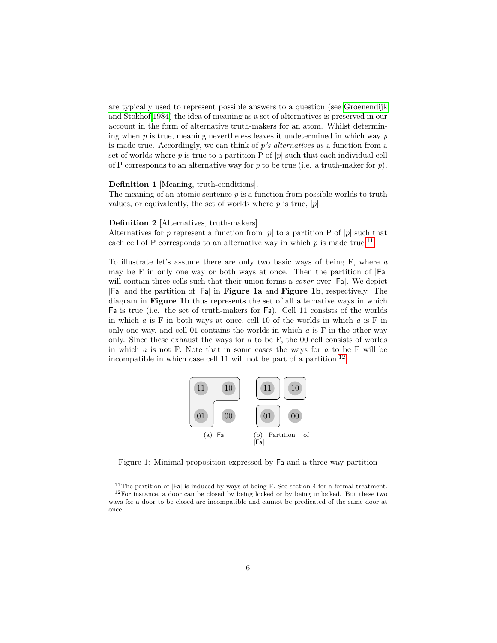are typically used to represent possible answers to a question (see [Groenendijk](#page-22-0) [and Stokhof 1984\)](#page-22-0) the idea of meaning as a set of alternatives is preserved in our account in the form of alternative truth-makers for an atom. Whilst determining when *p* is true, meaning nevertheless leaves it undetermined in which way *p* is made true. Accordingly, we can think of *p's alternatives* as a function from a set of worlds where  $p$  is true to a partition P of  $|p|$  such that each individual cell of P corresponds to an alternative way for *p* to be true (i.e. a truth-maker for *p*).

#### **Definition 1** [Meaning, truth-conditions].

The meaning of an atomic sentence *p* is a function from possible worlds to truth values, or equivalently, the set of worlds where  $p$  is true,  $|p|$ .

#### **Definition 2** [Alternatives, truth-makers].

Alternatives for *p* represent a function from  $|p|$  to a partition P of  $|p|$  such that each cell of P corresponds to an alternative way in which  $p$  is made true.<sup>[11](#page-5-0)</sup>

To illustrate let's assume there are only two basic ways of being F, where *a* may be F in only one way or both ways at once. Then the partition of  $|Fa|$ will contain three cells such that their union forms a *cover* over |Fa|. We depict |Fa| and the partition of |Fa| in **Figure 1a** and **Figure 1b**, respectively. The diagram in **Figure 1b** thus represents the set of all alternative ways in which Fa is true (i.e. the set of truth-makers for Fa). Cell 11 consists of the worlds in which *a* is F in both ways at once, cell 10 of the worlds in which *a* is F in only one way, and cell 01 contains the worlds in which *a* is F in the other way only. Since these exhaust the ways for *a* to be F, the 00 cell consists of worlds in which *a* is not F. Note that in some cases the ways for *a* to be F will be incompatible in which case cell 11 will not be part of a partition.<sup>[12](#page-5-1)</sup>



Figure 1: Minimal proposition expressed by Fa and a three-way partition

<span id="page-5-1"></span><span id="page-5-0"></span><sup>&</sup>lt;sup>11</sup>The partition of  $|F_a|$  is induced by ways of being F. See section 4 for a formal treatment.  $^{12}\rm{For}$  instance, a door can be closed by being locked or by being unlocked. But these two ways for a door to be closed are incompatible and cannot be predicated of the same door at once.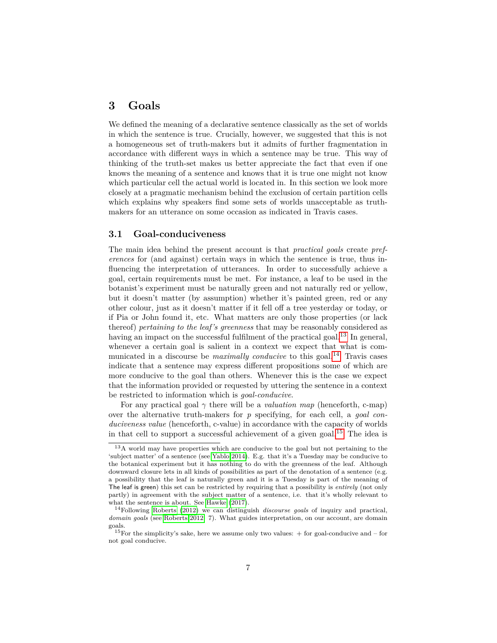# **3 Goals**

We defined the meaning of a declarative sentence classically as the set of worlds in which the sentence is true. Crucially, however, we suggested that this is not a homogeneous set of truth-makers but it admits of further fragmentation in accordance with different ways in which a sentence may be true. This way of thinking of the truth-set makes us better appreciate the fact that even if one knows the meaning of a sentence and knows that it is true one might not know which particular cell the actual world is located in. In this section we look more closely at a pragmatic mechanism behind the exclusion of certain partition cells which explains why speakers find some sets of worlds unacceptable as truthmakers for an utterance on some occasion as indicated in Travis cases.

### **3.1 Goal-conduciveness**

The main idea behind the present account is that *practical goals* create *preferences* for (and against) certain ways in which the sentence is true, thus influencing the interpretation of utterances. In order to successfully achieve a goal, certain requirements must be met. For instance, a leaf to be used in the botanist's experiment must be naturally green and not naturally red or yellow, but it doesn't matter (by assumption) whether it's painted green, red or any other colour, just as it doesn't matter if it fell off a tree yesterday or today, or if Pia or John found it, etc. What matters are only those properties (or lack thereof) *pertaining to the leaf's greenness* that may be reasonably considered as having an impact on the successful fulfilment of the practical goal.<sup>[13](#page-6-0)</sup> In general, whenever a certain goal is salient in a context we expect that what is communicated in a discourse be *maximally conducive* to this goal.<sup>[14](#page-6-1)</sup> Travis cases indicate that a sentence may express different propositions some of which are more conducive to the goal than others. Whenever this is the case we expect that the information provided or requested by uttering the sentence in a context be restricted to information which is *goal-conducive*.

For any practical goal  $\gamma$  there will be a *valuation map* (henceforth, c-map) over the alternative truth-makers for *p* specifying, for each cell, a *goal con*duciveness value (henceforth, c-value) in accordance with the capacity of worlds in that cell to support a successful achievement of a given goal.<sup>[15](#page-6-2)</sup> The idea is

<span id="page-6-0"></span><sup>&</sup>lt;sup>13</sup>A world may have properties which are conducive to the goal but not pertaining to the 'subject matter' of a sentence (see [Yablo 2014\)](#page-23-8). E.g. that it's a Tuesday may be conducive to the botanical experiment but it has nothing to do with the greenness of the leaf. Although downward closure lets in all kinds of possibilities as part of the denotation of a sentence (e.g. a possibility that the leaf is naturally green and it is a Tuesday is part of the meaning of The leaf is green) this set can be restricted by requiring that a possibility is *entirely* (not only partly) in agreement with the subject matter of a sentence, i.e. that it's wholly relevant to what the sentence is about. See [Hawke](#page-22-10) [\(2017\)](#page-22-10).

<span id="page-6-1"></span><sup>14</sup>Following [Roberts](#page-23-11) [\(2012\)](#page-23-11) we can distinguish *discourse goals* of inquiry and practical, *domain goals* (see [Roberts 2012:](#page-23-11) 7). What guides interpretation, on our account, are domain goals.

<span id="page-6-2"></span><sup>&</sup>lt;sup>15</sup>For the simplicity's sake, here we assume only two values:  $+$  for goal-conducive and  $-$  for not goal conducive.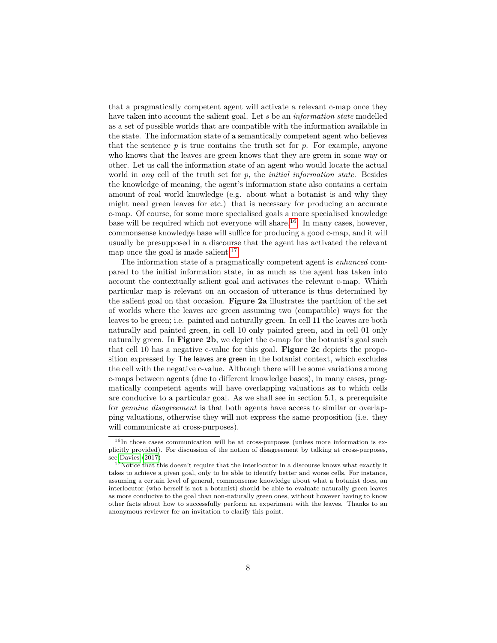that a pragmatically competent agent will activate a relevant c-map once they have taken into account the salient goal. Let *s* be an *information state* modelled as a set of possible worlds that are compatible with the information available in the state. The information state of a semantically competent agent who believes that the sentence  $p$  is true contains the truth set for  $p$ . For example, anyone who knows that the leaves are green knows that they are green in some way or other. Let us call the information state of an agent who would locate the actual world in *any* cell of the truth set for *p*, the *initial information state*. Besides the knowledge of meaning, the agent's information state also contains a certain amount of real world knowledge (e.g. about what a botanist is and why they might need green leaves for etc.) that is necessary for producing an accurate c-map. Of course, for some more specialised goals a more specialised knowledge base will be required which not everyone will share.[16](#page-7-0). In many cases, however, commonsense knowledge base will suffice for producing a good c-map, and it will usually be presupposed in a discourse that the agent has activated the relevant map once the goal is made salient. $17$ 

The information state of a pragmatically competent agent is *enhanced* compared to the initial information state, in as much as the agent has taken into account the contextually salient goal and activates the relevant c-map. Which particular map is relevant on an occasion of utterance is thus determined by the salient goal on that occasion. **Figure 2a** illustrates the partition of the set of worlds where the leaves are green assuming two (compatible) ways for the leaves to be green; i.e. painted and naturally green. In cell 11 the leaves are both naturally and painted green, in cell 10 only painted green, and in cell 01 only naturally green. In **Figure 2b**, we depict the c-map for the botanist's goal such that cell 10 has a negative c-value for this goal. **Figure 2c** depicts the proposition expressed by The leaves are green in the botanist context, which excludes the cell with the negative c-value. Although there will be some variations among c-maps between agents (due to different knowledge bases), in many cases, pragmatically competent agents will have overlapping valuations as to which cells are conducive to a particular goal. As we shall see in section 5.1, a prerequisite for *genuine disagreement* is that both agents have access to similar or overlapping valuations, otherwise they will not express the same proposition (i.e. they will communicate at cross-purposes).

<span id="page-7-0"></span> $16$ In those cases communication will be at cross-purposes (unless more information is explicitly provided). For discussion of the notion of disagreement by talking at cross-purposes, see [Davies](#page-22-11) [\(2017\)](#page-22-11)

<span id="page-7-1"></span> $17$ Notice that this doesn't require that the interlocutor in a discourse knows what exactly it takes to achieve a given goal, only to be able to identify better and worse cells. For instance, assuming a certain level of general, commonsense knowledge about what a botanist does, an interlocutor (who herself is not a botanist) should be able to evaluate naturally green leaves as more conducive to the goal than non-naturally green ones, without however having to know other facts about how to successfully perform an experiment with the leaves. Thanks to an anonymous reviewer for an invitation to clarify this point.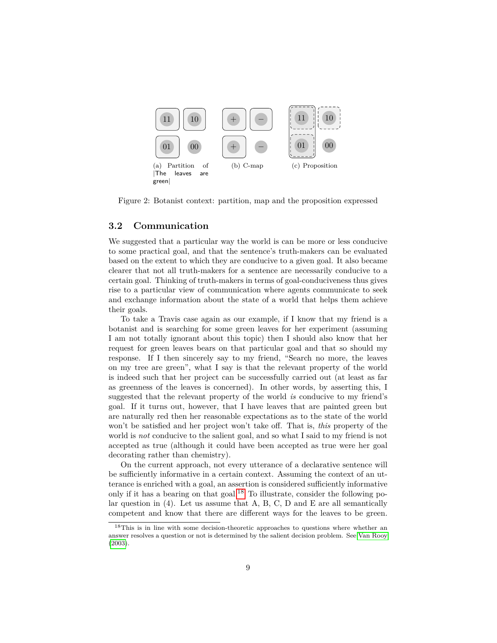

Figure 2: Botanist context: partition, map and the proposition expressed

### **3.2 Communication**

We suggested that a particular way the world is can be more or less conducive to some practical goal, and that the sentence's truth-makers can be evaluated based on the extent to which they are conducive to a given goal. It also became clearer that not all truth-makers for a sentence are necessarily conducive to a certain goal. Thinking of truth-makers in terms of goal-conduciveness thus gives rise to a particular view of communication where agents communicate to seek and exchange information about the state of a world that helps them achieve their goals.

To take a Travis case again as our example, if I know that my friend is a botanist and is searching for some green leaves for her experiment (assuming I am not totally ignorant about this topic) then I should also know that her request for green leaves bears on that particular goal and that so should my response. If I then sincerely say to my friend, "Search no more, the leaves on my tree are green", what I say is that the relevant property of the world is indeed such that her project can be successfully carried out (at least as far as greenness of the leaves is concerned). In other words, by asserting this, I suggested that the relevant property of the world *is* conducive to my friend's goal. If it turns out, however, that I have leaves that are painted green but are naturally red then her reasonable expectations as to the state of the world won't be satisfied and her project won't take off. That is, *this* property of the world is *not* conducive to the salient goal, and so what I said to my friend is not accepted as true (although it could have been accepted as true were her goal decorating rather than chemistry).

On the current approach, not every utterance of a declarative sentence will be sufficiently informative in a certain context. Assuming the context of an utterance is enriched with a goal, an assertion is considered sufficiently informative only if it has a bearing on that goal.<sup>[18](#page-8-0)</sup> To illustrate, consider the following polar question in  $(4)$ . Let us assume that A, B, C, D and E are all semantically competent and know that there are different ways for the leaves to be green.

<span id="page-8-0"></span> $^{18}\mathrm{This}$  is in line with some decision-theoretic approaches to questions where whether an answer resolves a question or not is determined by the salient decision problem. See [Van Rooy](#page-23-12) [\(2003\)](#page-23-12).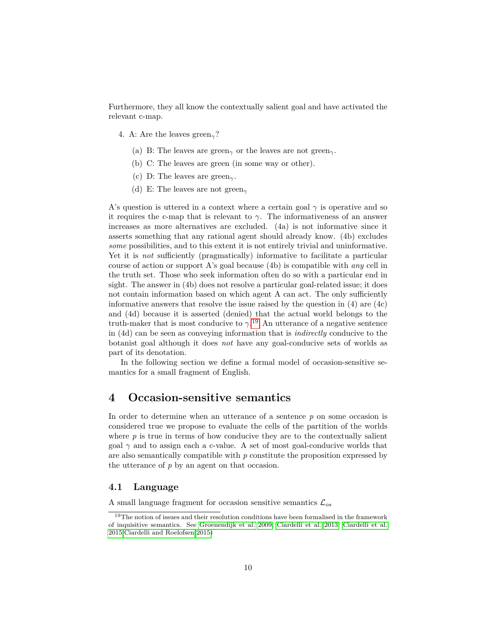Furthermore, they all know the contextually salient goal and have activated the relevant c-map.

4. A: Are the leaves green*γ*?

- (a) B: The leaves are green*<sup>γ</sup>* or the leaves are not green*γ*.
- (b) C: The leaves are green (in some way or other).
- (c) D: The leaves are green*γ*.
- (d) E: The leaves are not green*<sup>γ</sup>*

A's question is uttered in a context where a certain goal  $\gamma$  is operative and so it requires the c-map that is relevant to  $\gamma$ . The informativeness of an answer increases as more alternatives are excluded. (4a) is not informative since it asserts something that any rational agent should already know. (4b) excludes *some* possibilities, and to this extent it is not entirely trivial and uninformative. Yet it is *not* sufficiently (pragmatically) informative to facilitate a particular course of action or support A's goal because (4b) is compatible with *any* cell in the truth set. Those who seek information often do so with a particular end in sight. The answer in (4b) does not resolve a particular goal-related issue; it does not contain information based on which agent A can act. The only sufficiently informative answers that resolve the issue raised by the question in (4) are (4c) and (4d) because it is asserted (denied) that the actual world belongs to the truth-maker that is most conducive to  $\gamma$ <sup>[19](#page-9-0)</sup> An utterance of a negative sentence in (4d) can be seen as conveying information that is *indirectly* conducive to the botanist goal although it does *not* have any goal-conducive sets of worlds as part of its denotation.

In the following section we define a formal model of occasion-sensitive semantics for a small fragment of English.

# **4 Occasion-sensitive semantics**

In order to determine when an utterance of a sentence *p* on some occasion is considered true we propose to evaluate the cells of the partition of the worlds where  $p$  is true in terms of how conducive they are to the contextually salient goal  $\gamma$  and to assign each a c-value. A set of most goal-conducive worlds that are also semantically compatible with *p* constitute the proposition expressed by the utterance of *p* by an agent on that occasion.

### **4.1 Language**

A small language fragment for occasion sensitive semantics L*os*

<span id="page-9-0"></span><sup>&</sup>lt;sup>19</sup>The notion of issues and their resolution conditions have been formalised in the framework of inquisitive semantics. See [Groenendijk et al. 2009,](#page-22-12) [Ciardelli et al. 2013,](#page-22-13) [Ciardelli et al.](#page-22-14) [2015,](#page-22-14)[Ciardelli and Roelofsen 2015\)](#page-22-15)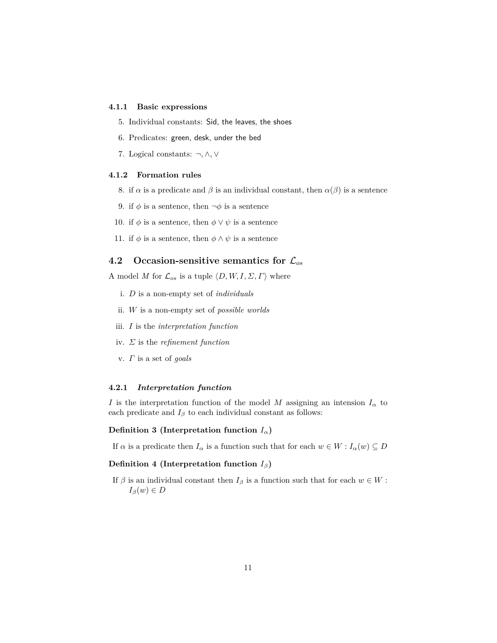#### **4.1.1 Basic expressions**

- 5. Individual constants: Sid, the leaves, the shoes
- 6. Predicates: green, desk, under the bed
- 7. Logical constants: ¬*,* ∧*,* ∨

#### **4.1.2 Formation rules**

- 8. if  $\alpha$  is a predicate and  $\beta$  is an individual constant, then  $\alpha(\beta)$  is a sentence
- 9. if  $\phi$  is a sentence, then  $\neg \phi$  is a sentence
- 10. if  $\phi$  is a sentence, then  $\phi \lor \psi$  is a sentence
- 11. if  $\phi$  is a sentence, then  $\phi \wedge \psi$  is a sentence

# **4.2 Occasion-sensitive semantics for** L*os*

A model *M* for  $\mathcal{L}_{os}$  is a tuple  $\langle D, W, I, \Sigma, \Gamma \rangle$  where

- i. *D* is a non-empty set of *individuals*
- ii. *W* is a non-empty set of *possible worlds*
- iii. *I* is the *interpretation function*
- iv. *Σ* is the *refinement function*
- v. *Γ* is a set of *goals*

#### **4.2.1** *Interpretation function*

*I* is the interpretation function of the model *M* assigning an intension  $I_{\alpha}$  to each predicate and  $I_\beta$  to each individual constant as follows:

#### **Definition 3 (Interpretation function** *Iα***)**

If  $\alpha$  is a predicate then  $I_{\alpha}$  is a function such that for each  $w \in W : I_{\alpha}(w) \subseteq D$ 

#### **Definition 4 (Interpretation function**  $I_\beta$ )

If  $\beta$  is an individual constant then  $I_{\beta}$  is a function such that for each  $w \in W$ :  $I_\beta(w) \in D$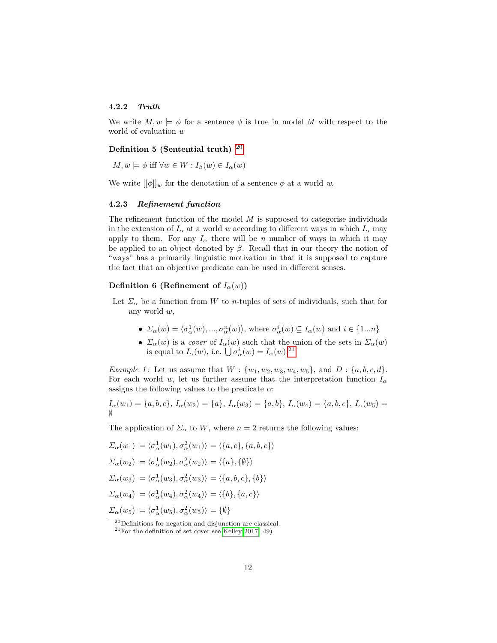#### **4.2.2** *Truth*

We write  $M, w \models \phi$  for a sentence  $\phi$  is true in model M with respect to the world of evaluation *w*

# **Definition 5 (Sentential truth)** [20](#page-11-0)

 $M, w \models \phi$  iff  $\forall w \in W : I_{\beta}(w) \in I_{\alpha}(w)$ 

We write  $[[\phi]]_w$  for the denotation of a sentence  $\phi$  at a world *w*.

#### **4.2.3** *Refinement function*

The refinement function of the model *M* is supposed to categorise individuals in the extension of  $I_{\alpha}$  at a world *w* according to different ways in which  $I_{\alpha}$  may apply to them. For any  $I_\alpha$  there will be *n* number of ways in which it may be applied to an object denoted by  $\beta$ . Recall that in our theory the notion of "ways" has a primarily linguistic motivation in that it is supposed to capture the fact that an objective predicate can be used in different senses.

# **Definition 6 (Refinement of**  $I_\alpha(w)$ )

- Let  $\Sigma_{\alpha}$  be a function from *W* to *n*-tuples of sets of individuals, such that for any world *w*,
	- $\Sigma_{\alpha}(w) = \langle \sigma_{\alpha}^1(w), ..., \sigma_{\alpha}^n(w) \rangle$ , where  $\sigma_{\alpha}^i(w) \subseteq I_{\alpha}(w)$  and  $i \in \{1...n\}$
	- $\Sigma_{\alpha}(w)$  is a *cover* of  $I_{\alpha}(w)$  such that the union of the sets in  $\Sigma_{\alpha}(w)$ is equal to  $I_\alpha(w)$ , i.e.  $\bigcup \sigma_\alpha^i(w) = I_\alpha(w)$ .<sup>[21](#page-11-1)</sup>

*Example 1*: Let us assume that  $W: \{w_1, w_2, w_3, w_4, w_5\}$ , and  $D: \{a, b, c, d\}$ . For each world *w*, let us further assume that the interpretation function  $I_{\alpha}$ assigns the following values to the predicate *α*:

$$
I_{\alpha}(w_1) = \{a, b, c\}, I_{\alpha}(w_2) = \{a\}, I_{\alpha}(w_3) = \{a, b\}, I_{\alpha}(w_4) = \{a, b, c\}, I_{\alpha}(w_5) = \emptyset
$$

The application of  $\Sigma_{\alpha}$  to *W*, where  $n = 2$  returns the following values:

$$
\Sigma_{\alpha}(w_1) = \langle \sigma_{\alpha}^1(w_1), \sigma_{\alpha}^2(w_1) \rangle = \langle \{a, c\}, \{a, b, c\} \rangle
$$
  

$$
\Sigma_{\alpha}(w_2) = \langle \sigma_{\alpha}^1(w_2), \sigma_{\alpha}^2(w_2) \rangle = \langle \{a\}, \{\emptyset\} \rangle
$$
  

$$
\Sigma_{\alpha}(w_3) = \langle \sigma_{\alpha}^1(w_3), \sigma_{\alpha}^2(w_3) \rangle = \langle \{a, b, c\}, \{b\} \rangle
$$
  

$$
\Sigma_{\alpha}(w_4) = \langle \sigma_{\alpha}^1(w_4), \sigma_{\alpha}^2(w_4) \rangle = \langle \{b\}, \{a, c\} \rangle
$$
  

$$
\Sigma_{\alpha}(w_5) = \langle \sigma_{\alpha}^1(w_5), \sigma_{\alpha}^2(w_5) \rangle = \{\emptyset\}
$$

<span id="page-11-0"></span><sup>20</sup>Definitions for negation and disjunction are classical.

<span id="page-11-1"></span> $^{21}\rm{For}$  the definition of set cover see [Kelley 2017:](#page-22-16) 49)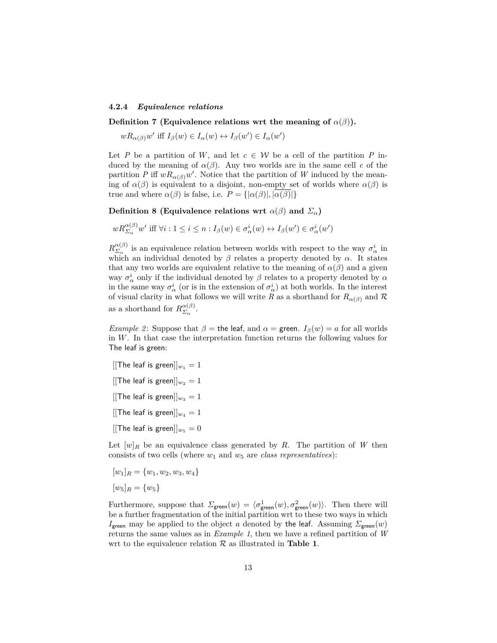#### **4.2.4** *Equivalence relations*

**Definition 7 (Equivalence relations wrt the meaning of**  $\alpha(\beta)$ **).** 

 $wR_{\alpha(\beta)}w'$  iff  $I_{\beta}(w) \in I_{\alpha}(w) \leftrightarrow I_{\beta}(w') \in I_{\alpha}(w')$ 

Let *P* be a partition of *W*, and let  $c \in W$  be a cell of the partition *P* induced by the meaning of  $\alpha(\beta)$ . Any two worlds are in the same cell *c* of the partition *P* iff  $wR_{\alpha(\beta)}w'$ . Notice that the partition of *W* induced by the meaning of  $\alpha(\beta)$  is equivalent to a disjoint, non-empty set of worlds where  $\alpha(\beta)$  is true and where  $\alpha(\beta)$  is false, i.e.  $P = {\alpha(\beta)|, |\alpha(\beta)|}$ 

**Definition 8 (Equivalence relations wrt**  $\alpha(\beta)$  and  $\Sigma_{\alpha}$ )

$$
wR_{\Sigma_{\alpha}}^{\alpha(\beta)}w' \text{ iff } \forall i: 1 \leq i \leq n: I_{\beta}(w) \in \sigma_{\alpha}^{i}(w) \leftrightarrow I_{\beta}(w') \in \sigma_{\alpha}^{i}(w')
$$

 $R_{\Sigma}^{\alpha(\beta)}$  $\alpha(\beta)$  is an equivalence relation between worlds with respect to the way  $\sigma^i_\alpha$  in which an individual denoted by  $\beta$  relates a property denoted by  $\alpha$ . It states that any two worlds are equivalent relative to the meaning of  $\alpha(\beta)$  and a given way  $\sigma^i_\alpha$  only if the individual denoted by  $\beta$  relates to a property denoted by  $\alpha$ in the same way  $\sigma^i_\alpha$  (or is in the extension of  $\sigma^i_\alpha$ ) at both worlds. In the interest of visual clarity in what follows we will write *R* as a shorthand for  $R_{\alpha(\beta)}$  and  $\mathcal{R}$ as a shorthand for  $R_{\Sigma}^{\alpha(\beta)}$  $\frac{\alpha(\beta)}{\Sigma_{\alpha}}$ .

*Example 2*: Suppose that  $\beta$  = the leaf, and  $\alpha$  = green.  $I_{\beta}(w) = a$  for all worlds in *W*. In that case the interpretation function returns the following values for The leaf is green:

- [[The leaf is green]] $w_1 = 1$
- [[The leaf is green]] $w_2 = 1$
- [[The leaf is green]] $w_3 = 1$
- [[The leaf is green]] $w_4 = 1$
- [[The leaf is green]] $w_5 = 0$

Let  $[w]_R$  be an equivalence class generated by R. The partition of W then consists of two cells (where *w*<sup>1</sup> and *w*<sup>5</sup> are *class representatives*):

$$
[w_1]_R = \{w_1, w_2, w_3, w_4\}
$$

$$
[w_5]_R = \{w_5\}
$$

Furthermore, suppose that  $\Sigma_{\text{green}}(w) = \langle \sigma_{\text{green}}^1(w), \sigma_{\text{green}}^2(w) \rangle$ . Then there will be a further fragmentation of the initial partition wrt to these two ways in which *I*<sub>green</sub> may be applied to the object *a* denoted by the leaf. Assuming  $\Sigma_{\text{green}}(w)$ returns the same values as in *Example 1*, then we have a refined partition of *W* wrt to the equivalence relation  $R$  as illustrated in **Table 1**.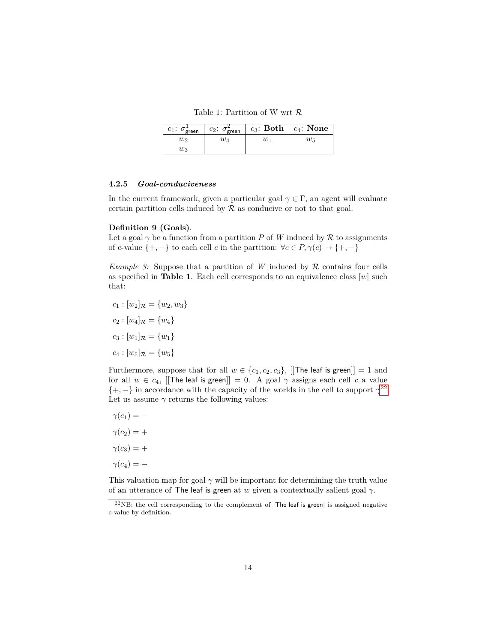Table 1: Partition of W wrt R

| $c_1$ : $\sigma_{\text{green}}^1$ | $c_2$ : $\sigma_{\text{green}}^2$ |    | $c_3$ : Both $ c_4$ : None $ c_5 $ |
|-----------------------------------|-----------------------------------|----|------------------------------------|
| W2                                | $w_{4}$                           | W1 | $w_5$                              |
| $w_3$                             |                                   |    |                                    |

#### **4.2.5** *Goal-conduciveness*

In the current framework, given a particular goal  $\gamma \in \Gamma$ , an agent will evaluate certain partition cells induced by  $R$  as conducive or not to that goal.

### **Definition 9 (Goals)**.

Let a goal  $\gamma$  be a function from a partition *P* of *W* induced by  $\mathcal R$  to assignments of c-value  $\{+, -\}$  to each cell *c* in the partition:  $\forall c \in P, \gamma(c) \to \{+, -\}$ 

*Example 3:* Suppose that a partition of *W* induced by  $\mathcal{R}$  contains four cells as specified in **Table 1**. Each cell corresponds to an equivalence class  $[w]$  such that:

- $c_1$  :  $[w_2]_{\mathcal{R}}$  =  $\{w_2, w_3\}$  $c_2$  :  $[w_4]_{\mathcal{R}} = \{w_4\}$  $c_3$  :  $[w_1]_{\mathcal{R}} = \{w_1\}$
- $c_4$  :  $[w_5]_{\mathcal{R}} = \{w_5\}$

Furthermore, suppose that for all  $w \in \{c_1, c_2, c_3\}$ , [[The leaf is green]] = 1 and for all  $w \in c_4$ , [[The leaf is green]] = 0. A goal  $\gamma$  assigns each cell *c* a value  $\{+, -\}$  in accordance with the capacity of the worlds in the cell to support  $\gamma^{22}$  $\gamma^{22}$  $\gamma^{22}$ Let us assume  $\gamma$  returns the following values:

 $\gamma(c_1) = \gamma(c_2) = +$  $\gamma(c_3) = +$  $\gamma(c_4) = -$ 

This valuation map for goal  $\gamma$  will be important for determining the truth value of an utterance of The leaf is green at *w* given a contextually salient goal *γ*.

<span id="page-13-0"></span> $^{22}$ NB: the cell corresponding to the complement of |The leaf is green| is assigned negative c-value by definition.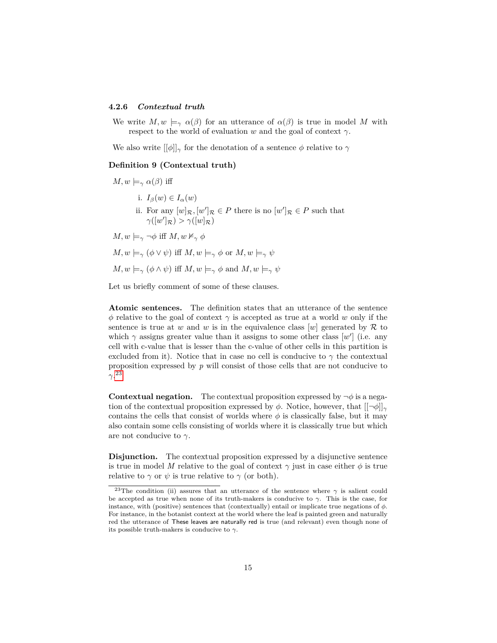#### **4.2.6** *Contextual truth*

We write  $M, w \models_{\gamma} \alpha(\beta)$  for an utterance of  $\alpha(\beta)$  is true in model M with respect to the world of evaluation *w* and the goal of context  $\gamma$ .

We also write  $[\phi]_{\gamma}$  for the denotation of a sentence  $\phi$  relative to  $\gamma$ 

#### **Definition 9 (Contextual truth)**

 $M, w \models_{\gamma} \alpha(\beta)$  iff

- i.  $I_\beta(w) \in I_\alpha(w)$
- ii. For any  $[w]_{\mathcal{R}}, [w']_{\mathcal{R}} \in P$  there is no  $[w']_{\mathcal{R}} \in P$  such that  $\gamma([w']_{\mathcal{R}}) > \gamma([w]_{\mathcal{R}})$

 $M, w \models_{\gamma} \neg \phi$  iff  $M, w \nvDash_{\gamma} \phi$ 

 $M, w \models_{\gamma} (\phi \vee \psi)$  iff  $M, w \models_{\gamma} \phi$  or  $M, w \models_{\gamma} \psi$ 

$$
M, w \models_{\gamma} (\phi \land \psi)
$$
 iff  $M, w \models_{\gamma} \phi$  and  $M, w \models_{\gamma} \psi$ 

Let us briefly comment of some of these clauses.

**Atomic sentences.** The definition states that an utterance of the sentence *φ* relative to the goal of context  $\gamma$  is accepted as true at a world *w* only if the sentence is true at *w* and *w* is in the equivalence class  $[w]$  generated by  $\mathcal{R}$  to which  $\gamma$  assigns greater value than it assigns to some other class  $[w']$  (i.e. any cell with c-value that is lesser than the c-value of other cells in this partition is excluded from it). Notice that in case no cell is conducive to  $\gamma$  the contextual proposition expressed by *p* will consist of those cells that are not conducive to *γ*. [23](#page-14-0)

**Contextual negation.** The contextual proposition expressed by  $\neg \phi$  is a negation of the contextual proposition expressed by  $\phi$ . Notice, however, that  $[[\neg \phi]]_{\gamma}$ contains the cells that consist of worlds where  $\phi$  is classically false, but it may also contain some cells consisting of worlds where it is classically true but which are not conducive to *γ*.

**Disjunction.** The contextual proposition expressed by a disjunctive sentence is true in model *M* relative to the goal of context  $\gamma$  just in case either  $\phi$  is true relative to  $\gamma$  or  $\psi$  is true relative to  $\gamma$  (or both).

<span id="page-14-0"></span><sup>&</sup>lt;sup>23</sup>The condition (ii) assures that an utterance of the sentence where  $\gamma$  is salient could be accepted as true when none of its truth-makers is conducive to *γ*. This is the case, for instance, with (positive) sentences that (contextually) entail or implicate true negations of  $\phi$ . For instance, in the botanist context at the world where the leaf is painted green and naturally red the utterance of These leaves are naturally red is true (and relevant) even though none of its possible truth-makers is conducive to *γ*.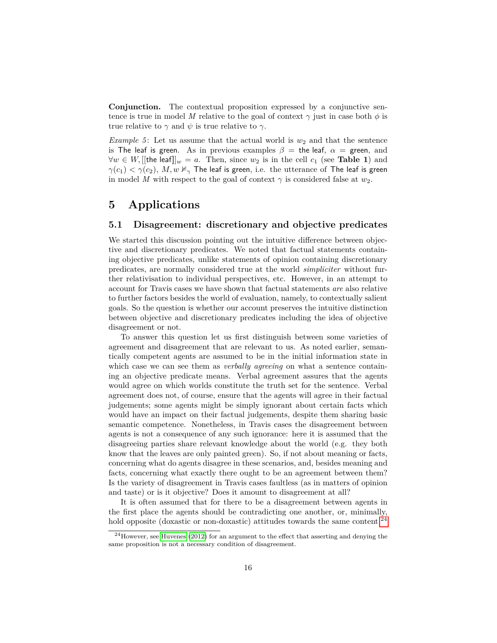**Conjunction.** The contextual proposition expressed by a conjunctive sentence is true in model *M* relative to the goal of context  $\gamma$  just in case both  $\phi$  is true relative to  $\gamma$  and  $\psi$  is true relative to  $\gamma$ .

*Example 5*: Let us assume that the actual world is  $w_2$  and that the sentence is The leaf is green. As in previous examples  $\beta$  = the leaf,  $\alpha$  = green, and  $∀w ∈ W, [[the leaf]]<sub>w</sub> = a$ . Then, since  $w_2$  is in the cell  $c_1$  (see **Table 1**) and  $\gamma(c_1) < \gamma(c_2)$ , *M*,  $w \nvDash_{\gamma}$  The leaf is green, i.e. the utterance of The leaf is green in model *M* with respect to the goal of context  $\gamma$  is considered false at  $w_2$ .

# **5 Applications**

# **5.1 Disagreement: discretionary and objective predicates**

We started this discussion pointing out the intuitive difference between objective and discretionary predicates. We noted that factual statements containing objective predicates, unlike statements of opinion containing discretionary predicates, are normally considered true at the world *simpliciter* without further relativisation to individual perspectives, etc. However, in an attempt to account for Travis cases we have shown that factual statements *are* also relative to further factors besides the world of evaluation, namely, to contextually salient goals. So the question is whether our account preserves the intuitive distinction between objective and discretionary predicates including the idea of objective disagreement or not.

To answer this question let us first distinguish between some varieties of agreement and disagreement that are relevant to us. As noted earlier, semantically competent agents are assumed to be in the initial information state in which case we can see them as *verbally agreeing* on what a sentence containing an objective predicate means. Verbal agreement assures that the agents would agree on which worlds constitute the truth set for the sentence. Verbal agreement does not, of course, ensure that the agents will agree in their factual judgements; some agents might be simply ignorant about certain facts which would have an impact on their factual judgements, despite them sharing basic semantic competence. Nonetheless, in Travis cases the disagreement between agents is not a consequence of any such ignorance: here it is assumed that the disagreeing parties share relevant knowledge about the world (e.g. they both know that the leaves are only painted green). So, if not about meaning or facts, concerning what do agents disagree in these scenarios, and, besides meaning and facts, concerning what exactly there ought to be an agreement between them? Is the variety of disagreement in Travis cases faultless (as in matters of opinion and taste) or is it objective? Does it amount to disagreement at all?

It is often assumed that for there to be a disagreement between agents in the first place the agents should be contradicting one another, or, minimally, hold opposite (doxastic or non-doxastic) attitudes towards the same content.<sup>[24](#page-15-0)</sup>

<span id="page-15-0"></span> $^{24}$ However, see [Huvenes](#page-22-17) [\(2012\)](#page-22-17) for an argument to the effect that asserting and denying the same proposition is not a necessary condition of disagreement.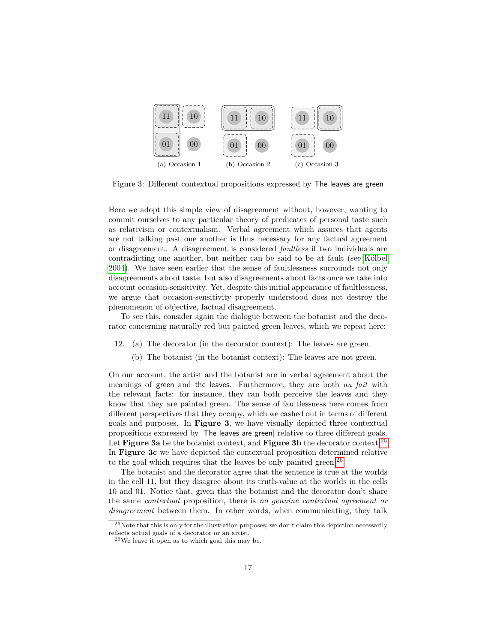

Figure 3: Different contextual propositions expressed by The leaves are green

Here we adopt this simple view of disagreement without, however, wanting to commit ourselves to any particular theory of predicates of personal taste such as relativism or contextualism. Verbal agreement which assures that agents are not talking past one another is thus necessary for any factual agreement or disagreement. A disagreement is considered *faultless* if two individuals are contradicting one another, but neither can be said to be at fault (see Kölbel [2004\)](#page-22-2). We have seen earlier that the sense of faultlessness surrounds not only disagreements about taste, but also disagreements about facts once we take into account occasion-sensitivity. Yet, despite this initial appearance of faultlessness, we argue that occasion-sensitivity properly understood does not destroy the phenomenon of objective, factual disagreement.

To see this, consider again the dialogue between the botanist and the decorator concerning naturally red but painted green leaves, which we repeat here:

- 12. (a) The decorator (in the decorator context): The leaves are green.
	- (b) The botanist (in the botanist context): The leaves are not green.

On our account, the artist and the botanist are in verbal agreement about the meanings of green and the leaves. Furthermore, they are both *au fait* with the relevant facts: for instance, they can both perceive the leaves and they know that they are painted green. The sense of faultlessness here comes from different perspectives that they occupy, which we cashed out in terms of different goals and purposes. In **Figure 3**, we have visually depicted three contextual propositions expressed by |The leaves are green| relative to three different goals. Let **Figure 3a** be the botanist context, and **Figure 3b** the decorator context.<sup>[25](#page-16-0)</sup> In **Figure 3c** we have depicted the contextual proposition determined relative to the goal which requires that the leaves be only painted green.<sup>[26](#page-16-1)</sup>

The botanist and the decorator agree that the sentence is true at the worlds in the cell 11, but they disagree about its truth-value at the worlds in the cells 10 and 01. Notice that, given that the botanist and the decorator don't share the same *contextual* proposition, there is *no genuine contextual agreement or disagreement* between them. In other words, when communicating, they talk

<span id="page-16-0"></span><sup>25</sup>Note that this is only for the illustration purposes; we don't claim this depiction necessarily reflects actual goals of a decorator or an artist.

<span id="page-16-1"></span> $^{26}\mathrm{We}$  leave it open as to which goal this may be.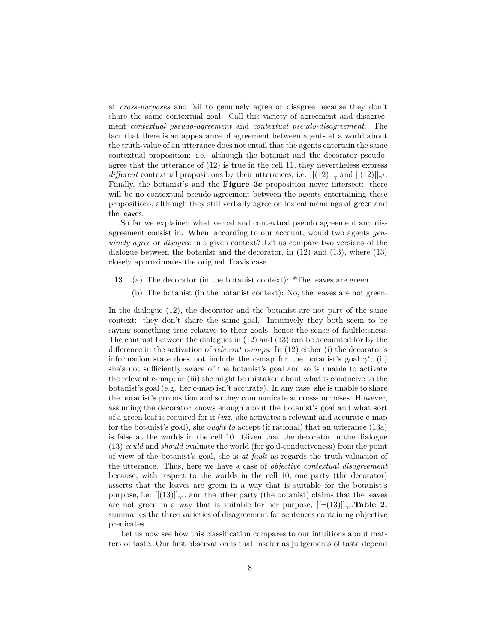at *cross-purposes* and fail to genuinely agree or disagree because they don't share the same contextual goal. Call this variety of agreement and disagreement *contextual pseudo-agreement* and *contextual pseudo-disagreement*. The fact that there is an appearance of agreement between agents at a world about the truth-value of an utterance does not entail that the agents entertain the same contextual proposition: i.e. although the botanist and the decorator pseudoagree that the utterance of (12) is true in the cell 11, they nevertheless express *different* contextual propositions by their utterances, i.e.  $[[(12)]|_{\gamma}$  and  $[[(12)]|_{\gamma'}$ . Finally, the botanist's and the **Figure 3c** proposition never intersect: there will be no contextual pseudo-agreement between the agents entertaining these propositions, although they still verbally agree on lexical meanings of green and the leaves.

So far we explained what verbal and contextual pseudo agreement and disagreement consist in. When, according to our account, would two agents *genuinely agree* or *disagree* in a given context? Let us compare two versions of the dialogue between the botanist and the decorator, in (12) and (13), where (13) closely approximates the original Travis case.

- 13. (a) The decorator (in the botanist context): \*The leaves are green.
	- (b) The botanist (in the botanist context): No, the leaves are not green.

In the dialogue (12), the decorator and the botanist are not part of the same context: they don't share the same goal. Intuitively they both seem to be saying something true relative to their goals, hence the sense of faultlessness. The contrast between the dialogues in (12) and (13) can be accounted for by the difference in the activation of *relevant c-maps*. In (12) either (i) the decorator's information state does not include the c-map for the botanist's goal  $\gamma'$ ; (ii) she's not sufficiently aware of the botanist's goal and so is unable to activate the relevant c-map; or (iii) she might be mistaken about what is conducive to the botanist's goal (e.g. her c-map isn't accurate). In any case, she is unable to share the botanist's proposition and so they communicate at cross-purposes. However, assuming the decorator knows enough about the botanist's goal and what sort of a green leaf is required for it (*viz.* she activates a relevant and accurate c-map for the botanist's goal), she *ought to* accept (if rational) that an utterance (13a) is false at the worlds in the cell 10. Given that the decorator in the dialogue (13) *could* and *should* evaluate the world (for goal-conduciveness) from the point of view of the botanist's goal, she is *at fault* as regards the truth-valuation of the utterance. Thus, here we have a case of *objective contextual disagreement* because, with respect to the worlds in the cell 10, one party (the decorator) asserts that the leaves are green in a way that is suitable for the botanist's purpose, i.e.  $[[(13)]]_{\gamma'}$ , and the other party (the botanist) claims that the leaves are not green in a way that is suitable for her purpose,  $[[(\neg(13)]]_{\gamma}$ . **Table 2.** summaries the three varieties of disagreement for sentences containing objective predicates.

Let us now see how this classification compares to our intuitions about matters of taste. Our first observation is that insofar as judgements of taste depend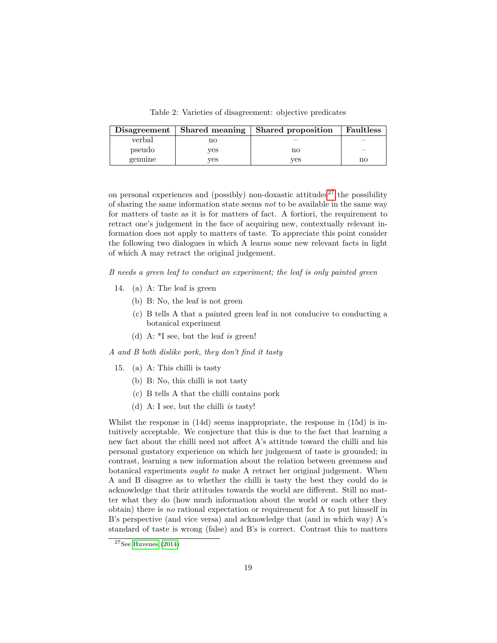Table 2: Varieties of disagreement: objective predicates

| Disagreement | Shared meaning | Shared proposition | <b>Faultless</b> |
|--------------|----------------|--------------------|------------------|
| verbal       | no             |                    |                  |
| pseudo       | ves            | no                 |                  |
| genuine      | ves            | ves                | no               |

on personal experiences and (possibly) non-doxastic attitudes<sup>[27](#page-18-0)</sup> the possibility of sharing the same information state seems *not* to be available in the same way for matters of taste as it is for matters of fact. A fortiori, the requirement to retract one's judgement in the face of acquiring new, contextually relevant information does not apply to matters of taste. To appreciate this point consider the following two dialogues in which A learns some new relevant facts in light of which A may retract the original judgement.

*B needs a green leaf to conduct an experiment; the leaf is only painted green*

- 14. (a) A: The leaf is green
	- (b) B: No, the leaf is not green
	- (c) B tells A that a painted green leaf in not conducive to conducting a botanical experiment
	- (d) A: \*I see, but the leaf *is* green!

*A and B both dislike pork, they don't find it tasty*

- 15. (a) A: This chilli is tasty
	- (b) B: No, this chilli is not tasty
	- (c) B tells A that the chilli contains pork
	- (d) A: I see, but the chilli *is* tasty!

Whilst the response in (14d) seems inappropriate, the response in (15d) is intuitively acceptable. We conjecture that this is due to the fact that learning a new fact about the chilli need not affect A's attitude toward the chilli and his personal gustatory experience on which her judgement of taste is grounded; in contrast, learning a new information about the relation between greenness and botanical experiments *ought to* make A retract her original judgement. When A and B disagree as to whether the chilli is tasty the best they could do is acknowledge that their attitudes towards the world are different. Still no matter what they do (how much information about the world or each other they obtain) there is *no* rational expectation or requirement for A to put himself in B's perspective (and vice versa) and acknowledge that (and in which way) A's standard of taste is wrong (false) and B's is correct. Contrast this to matters

<span id="page-18-0"></span> $27$ See [Huvenes](#page-22-5) [\(2014\)](#page-22-5)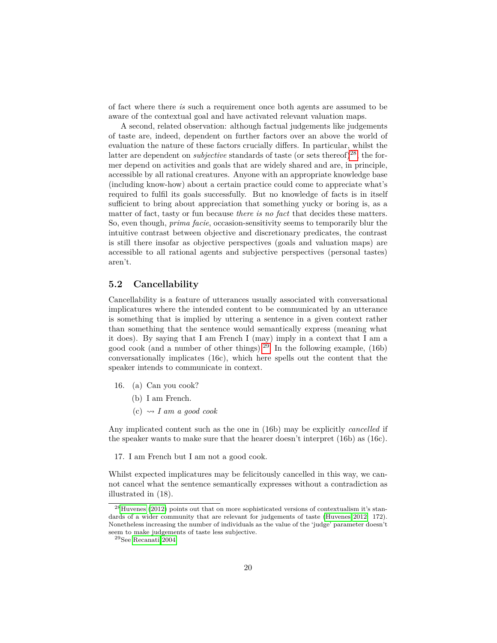of fact where there *is* such a requirement once both agents are assumed to be aware of the contextual goal and have activated relevant valuation maps.

A second, related observation: although factual judgements like judgements of taste are, indeed, dependent on further factors over an above the world of evaluation the nature of these factors crucially differs. In particular, whilst the latter are dependent on *subjective* standards of taste (or sets thereof)<sup>[28](#page-19-0)</sup>, the former depend on activities and goals that are widely shared and are, in principle, accessible by all rational creatures. Anyone with an appropriate knowledge base (including know-how) about a certain practice could come to appreciate what's required to fulfil its goals successfully. But no knowledge of facts is in itself sufficient to bring about appreciation that something yucky or boring is, as a matter of fact, tasty or fun because *there is no fact* that decides these matters. So, even though, *prima facie*, occasion-sensitivity seems to temporarily blur the intuitive contrast between objective and discretionary predicates, the contrast is still there insofar as objective perspectives (goals and valuation maps) are accessible to all rational agents and subjective perspectives (personal tastes) aren't.

# **5.2 Cancellability**

Cancellability is a feature of utterances usually associated with conversational implicatures where the intended content to be communicated by an utterance is something that is implied by uttering a sentence in a given context rather than something that the sentence would semantically express (meaning what it does). By saying that I am French I (may) imply in a context that I am a good cook (and a number of other things).<sup>[29](#page-19-1)</sup> In the following example,  $(16b)$ conversationally implicates (16c), which here spells out the content that the speaker intends to communicate in context.

- 16. (a) Can you cook?
	- (b) I am French.
	- $(c) \rightsquigarrow I$  *am a good cook*

Any implicated content such as the one in (16b) may be explicitly *cancelled* if the speaker wants to make sure that the hearer doesn't interpret (16b) as (16c).

17. I am French but I am not a good cook.

Whilst expected implicatures may be felicitously cancelled in this way, we cannot cancel what the sentence semantically expresses without a contradiction as illustrated in (18).

<span id="page-19-0"></span><sup>28</sup>[Huvenes](#page-22-17) [\(2012\)](#page-22-17) points out that on more sophisticated versions of contextualism it's stan-dards of a wider community that are relevant for judgements of taste [\(Huvenes 2012:](#page-22-17) 172). Nonetheless increasing the number of individuals as the value of the 'judge' parameter doesn't seem to make judgements of taste less subjective.

<span id="page-19-1"></span> $^{29}\mathrm{See}$  [Recanati 2004.](#page-23-5)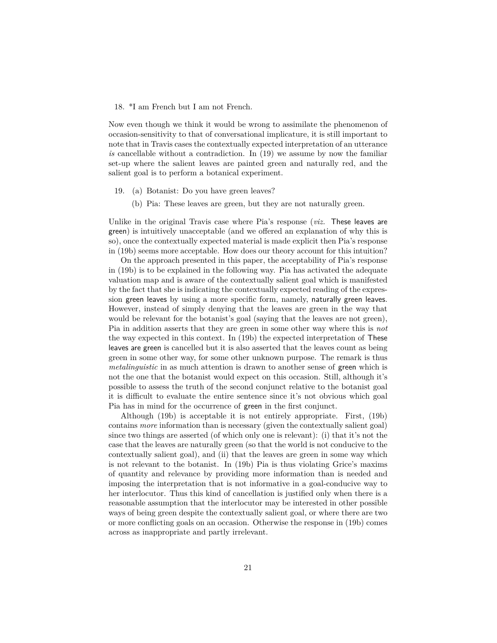#### 18. \*I am French but I am not French.

Now even though we think it would be wrong to assimilate the phenomenon of occasion-sensitivity to that of conversational implicature, it is still important to note that in Travis cases the contextually expected interpretation of an utterance *is* cancellable without a contradiction. In (19) we assume by now the familiar set-up where the salient leaves are painted green and naturally red, and the salient goal is to perform a botanical experiment.

- 19. (a) Botanist: Do you have green leaves?
	- (b) Pia: These leaves are green, but they are not naturally green.

Unlike in the original Travis case where Pia's response (*viz.* These leaves are green) is intuitively unacceptable (and we offered an explanation of why this is so), once the contextually expected material is made explicit then Pia's response in (19b) seems more acceptable. How does our theory account for this intuition?

On the approach presented in this paper, the acceptability of Pia's response in (19b) is to be explained in the following way. Pia has activated the adequate valuation map and is aware of the contextually salient goal which is manifested by the fact that she is indicating the contextually expected reading of the expression green leaves by using a more specific form, namely, naturally green leaves. However, instead of simply denying that the leaves are green in the way that would be relevant for the botanist's goal (saying that the leaves are not green), Pia in addition asserts that they are green in some other way where this is *not* the way expected in this context. In (19b) the expected interpretation of These leaves are green is cancelled but it is also asserted that the leaves count as being green in some other way, for some other unknown purpose. The remark is thus *metalinguistic* in as much attention is drawn to another sense of green which is not the one that the botanist would expect on this occasion. Still, although it's possible to assess the truth of the second conjunct relative to the botanist goal it is difficult to evaluate the entire sentence since it's not obvious which goal Pia has in mind for the occurrence of green in the first conjunct.

Although (19b) is acceptable it is not entirely appropriate. First, (19b) contains *more* information than is necessary (given the contextually salient goal) since two things are asserted (of which only one is relevant): (i) that it's not the case that the leaves are naturally green (so that the world is not conducive to the contextually salient goal), and (ii) that the leaves are green in some way which is not relevant to the botanist. In (19b) Pia is thus violating Grice's maxims of quantity and relevance by providing more information than is needed and imposing the interpretation that is not informative in a goal-conducive way to her interlocutor. Thus this kind of cancellation is justified only when there is a reasonable assumption that the interlocutor may be interested in other possible ways of being green despite the contextually salient goal, or where there are two or more conflicting goals on an occasion. Otherwise the response in (19b) comes across as inappropriate and partly irrelevant.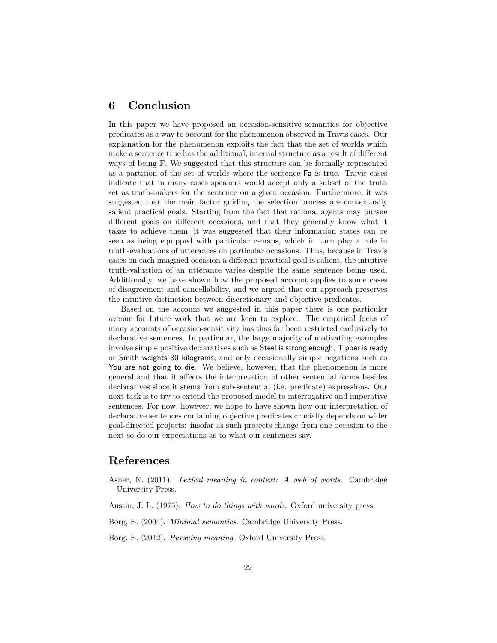# **6 Conclusion**

In this paper we have proposed an occasion-sensitive semantics for objective predicates as a way to account for the phenomenon observed in Travis cases. Our explanation for the phenomenon exploits the fact that the set of worlds which make a sentence true has the additional, internal structure as a result of different ways of being F. We suggested that this structure can be formally represented as a partition of the set of worlds where the sentence Fa is true. Travis cases indicate that in many cases speakers would accept only a subset of the truth set as truth-makers for the sentence on a given occasion. Furthermore, it was suggested that the main factor guiding the selection process are contextually salient practical goals. Starting from the fact that rational agents may pursue different goals on different occasions, and that they generally know what it takes to achieve them, it was suggested that their information states can be seen as being equipped with particular c-maps, which in turn play a role in truth-evaluations of utterances on particular occasions. Thus, because in Travis cases on each imagined occasion a different practical goal is salient, the intuitive truth-valuation of an utterance varies despite the same sentence being used. Additionally, we have shown how the proposed account applies to some cases of disagreement and cancellability, and we argued that our approach preserves the intuitive distinction between discretionary and objective predicates.

Based on the account we suggested in this paper there is one particular avenue for future work that we are keen to explore. The empirical focus of many accounts of occasion-sensitivity has thus far been restricted exclusively to declarative sentences. In particular, the large majority of motivating examples involve simple positive declaratives such as Steel is strong enough, Tipper is ready or Smith weights 80 kilograms, and only occasionally simple negations such as You are not going to die. We believe, however, that the phenomenon is more general and that it affects the interpretation of other sentential forms besides declaratives since it stems from sub-sentential (i.e. predicate) expressions. Our next task is to try to extend the proposed model to interrogative and imperative sentences. For now, however, we hope to have shown how our interpretation of declarative sentences containing objective predicates crucially depends on wider goal-directed projects: insofar as such projects change from one occasion to the next so do our expectations as to what our sentences say.

# **References**

- <span id="page-21-1"></span>Asher, N. (2011). *Lexical meaning in context: A web of words*. Cambridge University Press.
- <span id="page-21-0"></span>Austin, J. L. (1975). *How to do things with words*. Oxford university press.
- <span id="page-21-2"></span>Borg, E. (2004). *Minimal semantics*. Cambridge University Press.
- <span id="page-21-3"></span>Borg, E. (2012). *Pursuing meaning*. Oxford University Press.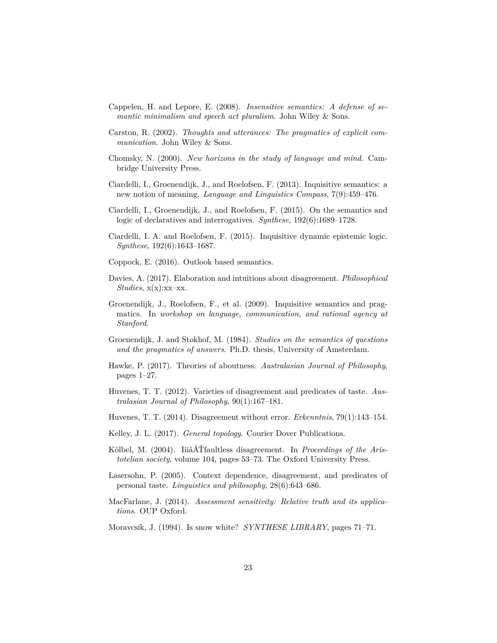- <span id="page-22-9"></span>Cappelen, H. and Lepore, E. (2008). *Insensitive semantics: A defense of semantic minimalism and speech act pluralism*. John Wiley & Sons.
- <span id="page-22-7"></span>Carston, R. (2002). *Thoughts and utterances: The pragmatics of explicit communication*. John Wiley & Sons.
- <span id="page-22-8"></span>Chomsky, N. (2000). *New horizons in the study of language and mind*. Cambridge University Press.
- <span id="page-22-13"></span>Ciardelli, I., Groenendijk, J., and Roelofsen, F. (2013). Inquisitive semantics: a new notion of meaning. *Language and Linguistics Compass*, 7(9):459–476.
- <span id="page-22-14"></span>Ciardelli, I., Groenendijk, J., and Roelofsen, F. (2015). On the semantics and logic of declaratives and interrogatives. *Synthese*, 192(6):1689–1728.
- <span id="page-22-15"></span>Ciardelli, I. A. and Roelofsen, F. (2015). Inquisitive dynamic epistemic logic. *Synthese*, 192(6):1643–1687.
- <span id="page-22-3"></span>Coppock, E. (2016). Outlook based semantics.
- <span id="page-22-11"></span>Davies, A. (2017). Elaboration and intuitions about disagreement. *Philosophical Studies*, x(x):xx–xx.
- <span id="page-22-12"></span>Groenendijk, J., Roelofsen, F., et al. (2009). Inquisitive semantics and pragmatics. In *workshop on language, communication, and rational agency at Stanford*.
- <span id="page-22-0"></span>Groenendijk, J. and Stokhof, M. (1984). *Studies on the semantics of questions and the pragmatics of answers*. Ph.D. thesis, University of Amsterdam.
- <span id="page-22-10"></span>Hawke, P. (2017). Theories of aboutness. *Australasian Journal of Philosophy*, pages 1–27.
- <span id="page-22-17"></span>Huvenes, T. T. (2012). Varieties of disagreement and predicates of taste. *Australasian Journal of Philosophy*, 90(1):167–181.
- <span id="page-22-5"></span>Huvenes, T. T. (2014). Disagreement without error. *Erkenntnis*, 79(1):143–154.
- <span id="page-22-16"></span>Kelley, J. L. (2017). *General topology*. Courier Dover Publications.
- <span id="page-22-2"></span>Kölbel, M. (2004). IiiâĂŤfaultless disagreement. In *Proceedings of the Aristotelian society*, volume 104, pages 53–73. The Oxford University Press.
- <span id="page-22-1"></span>Lasersohn, P. (2005). Context dependence, disagreement, and predicates of personal taste. *Linguistics and philosophy*, 28(6):643–686.
- <span id="page-22-4"></span>MacFarlane, J. (2014). *Assessment sensitivity: Relative truth and its applications*. OUP Oxford.
- <span id="page-22-6"></span>Moravcsik, J. (1994). Is snow white? *SYNTHESE LIBRARY*, pages 71–71.